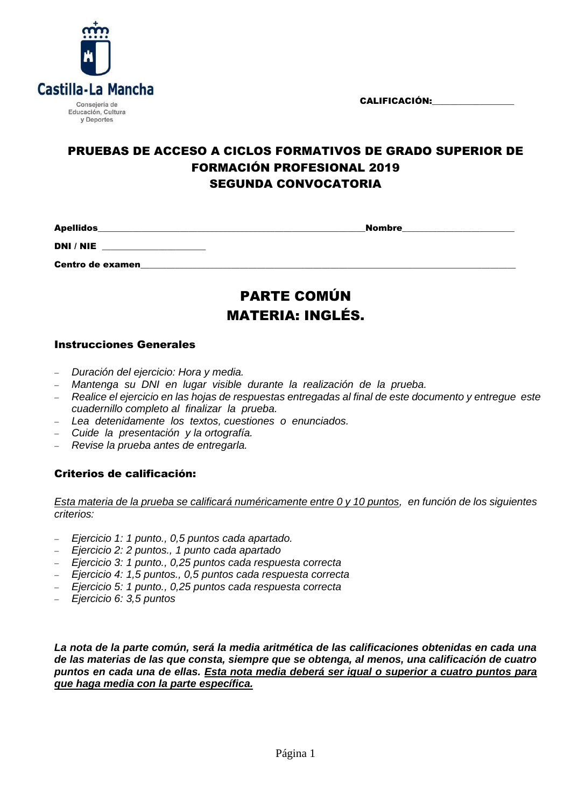CALIFICACIÓN:



## PRUEBAS DE ACCESO A CICLOS FORMATIVOS DE GRADO SUPERIOR DE FORMACIÓN PROFESIONAL 2019 SEGUNDA CONVOCATORIA

Apellidos\_\_\_\_\_\_\_\_\_\_\_\_\_\_\_\_\_\_\_\_\_\_\_\_\_\_\_\_\_\_\_\_\_\_\_\_\_\_\_\_\_\_\_\_\_\_\_\_\_\_\_\_\_\_\_\_\_\_\_\_\_\_Nombre\_\_\_\_\_\_\_\_\_\_\_\_\_\_\_\_\_\_\_\_\_\_\_\_\_\_

DNI / NIE \_\_\_\_\_\_\_\_\_\_\_\_\_\_\_\_\_\_\_\_\_\_\_\_

Centro de examen\_\_\_\_\_\_\_\_\_\_\_\_\_\_\_\_\_\_\_\_\_\_\_\_\_\_\_\_\_\_\_\_\_\_\_\_\_\_\_\_\_\_\_\_\_\_\_\_\_\_\_\_\_\_\_\_\_\_\_\_\_\_\_\_\_\_\_\_\_\_\_\_\_\_\_\_\_\_\_\_\_\_\_\_\_\_\_

# PARTE COMÚN MATERIA: INGLÉS.

#### Instrucciones Generales

- *Duración del ejercicio: Hora y media.*
- *Mantenga su DNI en lugar visible durante la realización de la prueba.*
- *Realice el ejercicio en las hojas de respuestas entregadas al final de este documento y entregue este cuadernillo completo al finalizar la prueba.*
- *Lea detenidamente los textos, cuestiones o enunciados.*
- *Cuide la presentación y la ortografía.*
- *Revise la prueba antes de entregarla.*

#### Criterios de calificación:

*Esta materia de la prueba se calificará numéricamente entre 0 y 10 puntos, en función de los siguientes criterios:*

- *Ejercicio 1: 1 punto., 0,5 puntos cada apartado.*
- *Ejercicio 2: 2 puntos., 1 punto cada apartado*
- *Ejercicio 3: 1 punto., 0,25 puntos cada respuesta correcta*
- *Ejercicio 4: 1,5 puntos., 0,5 puntos cada respuesta correcta*
- *Ejercicio 5: 1 punto., 0,25 puntos cada respuesta correcta*
- *Ejercicio 6: 3,5 puntos*

*La nota de la parte común, será la media aritmética de las calificaciones obtenidas en cada una de las materias de las que consta, siempre que se obtenga, al menos, una calificación de cuatro puntos en cada una de ellas. Esta nota media deberá ser igual o superior a cuatro puntos para que haga media con la parte específica.*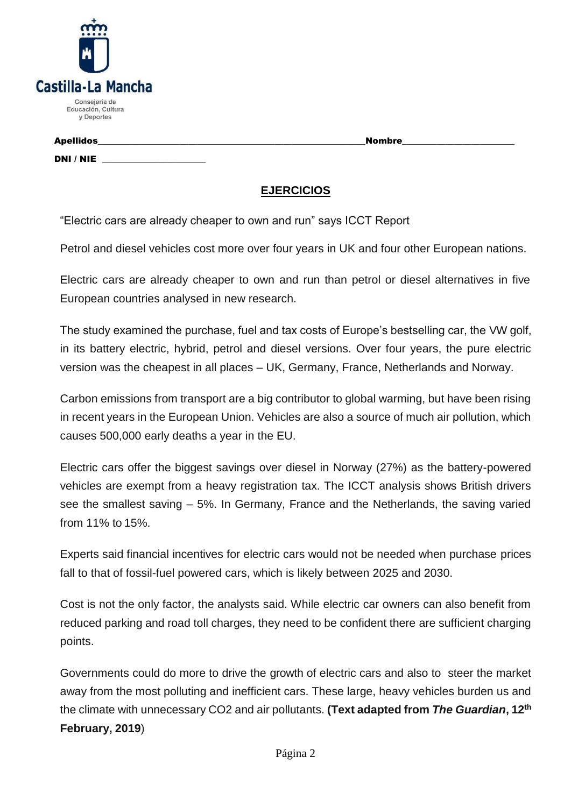| Castilla-La Mancha                                |
|---------------------------------------------------|
| Consejería de<br>Educación, Cultura<br>y Deportes |

DNI / NIE

Apellidos\_\_\_\_\_\_\_\_\_\_\_\_\_\_\_\_\_\_\_\_\_\_\_\_\_\_\_\_\_\_\_\_\_\_\_\_\_\_\_\_\_\_\_\_\_\_\_\_\_\_\_\_\_\_\_\_\_\_\_\_\_\_Nombre\_\_\_\_\_\_\_\_\_\_\_\_\_\_\_\_\_\_\_\_\_\_\_\_\_\_

## **EJERCICIOS**

"Electric cars are already cheaper to own and run" says ICCT Report

Petrol and diesel vehicles cost more over four years in UK and four other European nations.

Electric cars are already cheaper to own and run than petrol or diesel alternatives in five European countries analysed in new research.

The study examined the purchase, fuel and tax costs of Europe's bestselling car, the VW golf, in its battery electric, hybrid, petrol and diesel versions. Over four years, the pure electric version was the cheapest in all places – UK, Germany, France, Netherlands and Norway.

Carbon emissions from transport are a big contributor to global warming, but have been rising in recent years in the European Union. Vehicles are also a source of much air pollution, which causes 500,000 early deaths a year in the EU.

Electric cars offer the biggest savings over diesel in Norway (27%) as the battery-powered vehicles are exempt from a heavy registration tax. The ICCT analysis shows British drivers see the smallest saving – 5%. In Germany, France and the Netherlands, the saving varied from 11% to 15%.

Experts said financial incentives for electric cars would not be needed when purchase prices fall to that of fossil-fuel powered cars, which is likely between 2025 and 2030.

Cost is not the only factor, the analysts said. While electric car owners can also benefit from reduced parking and road toll charges, they need to be confident there are sufficient charging points.

Governments could do more to drive the growth of electric cars and also to steer the market away from the most polluting and inefficient cars. These large, heavy vehicles burden us and the climate with unnecessary CO2 and air pollutants. **(Text adapted from** *The Guardian***, 12th February, 2019**)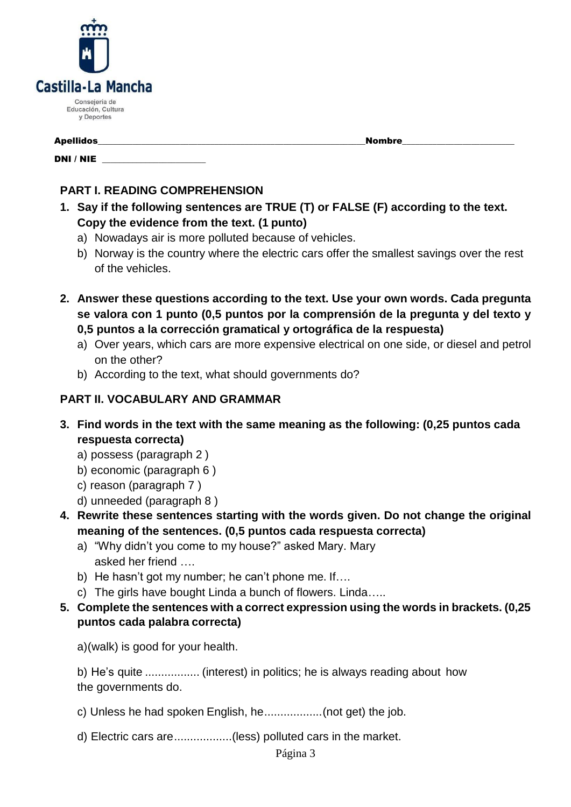

DNI / NIE \_\_\_\_\_\_\_\_\_\_\_\_\_\_\_\_\_\_\_\_\_\_\_\_

Apellidos\_\_\_\_\_\_\_\_\_\_\_\_\_\_\_\_\_\_\_\_\_\_\_\_\_\_\_\_\_\_\_\_\_\_\_\_\_\_\_\_\_\_\_\_\_\_\_\_\_\_\_\_\_\_\_\_\_\_\_\_\_\_Nombre\_\_\_\_\_\_\_\_\_\_\_\_\_\_\_\_\_\_\_\_\_\_\_\_\_\_

## **PART I. READING COMPREHENSION**

- **1. Say if the following sentences are TRUE (T) or FALSE (F) according to the text. Copy the evidence from the text. (1 punto)**
	- a) Nowadays air is more polluted because of vehicles.
	- b) Norway is the country where the electric cars offer the smallest savings over the rest of the vehicles.
- **2. Answer these questions according to the text. Use your own words. Cada pregunta se valora con 1 punto (0,5 puntos por la comprensión de la pregunta y del texto y 0,5 puntos a la corrección gramatical y ortográfica de la respuesta)**
	- a) Over years, which cars are more expensive electrical on one side, or diesel and petrol on the other?
	- b) According to the text, what should governments do?

## **PART II. VOCABULARY AND GRAMMAR**

- **3. Find words in the text with the same meaning as the following: (0,25 puntos cada respuesta correcta)**
	- a) possess (paragraph 2 )
	- b) economic (paragraph 6 )
	- c) reason (paragraph 7 )
	- d) unneeded (paragraph 8 )
- **4. Rewrite these sentences starting with the words given. Do not change the original meaning of the sentences. (0,5 puntos cada respuesta correcta)**
	- a) "Why didn't you come to my house?" asked Mary. Mary asked her friend ….
	- b) He hasn't got my number; he can't phone me. If….
	- c) The girls have bought Linda a bunch of flowers. Linda…..
- **5. Complete the sentences with a correct expression using the words in brackets. (0,25 puntos cada palabra correcta)**

a)(walk) is good for your health.

b) He's quite ................. (interest) in politics; he is always reading about how the governments do.

- c) Unless he had spoken English, he..................(not get) the job.
- d) Electric cars are..................(less) polluted cars in the market.